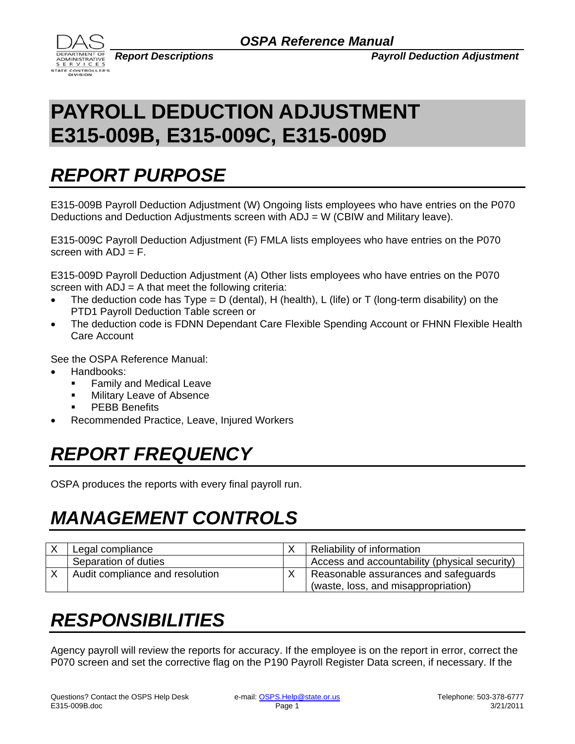

*Report Descriptions Payroll Deduction Adjustment*

## **PAYROLL DEDUCTION ADJUSTMENT E315-009B, E315-009C, E315-009D**

### *REPORT PURPOSE*

E315-009B Payroll Deduction Adjustment (W) Ongoing lists employees who have entries on the P070 Deductions and Deduction Adjustments screen with ADJ = W (CBIW and Military leave).

E315-009C Payroll Deduction Adjustment (F) FMLA lists employees who have entries on the P070 screen with  $ADJ = F$ .

E315-009D Payroll Deduction Adjustment (A) Other lists employees who have entries on the P070 screen with  $ADJ = A$  that meet the following criteria:

- The deduction code has  $Type = D$  (dental), H (health), L (life) or T (long-term disability) on the PTD1 Payroll Deduction Table screen or
- The deduction code is FDNN Dependant Care Flexible Spending Account or FHNN Flexible Health Care Account

See the OSPA Reference Manual:

- Handbooks:
	- **Family and Medical Leave**
	- **Nilitary Leave of Absence**
	- PEBB Benefits
- Recommended Practice, Leave, Injured Workers

## *REPORT FREQUENCY*

OSPA produces the reports with every final payroll run.

## *MANAGEMENT CONTROLS*

| Legal compliance                | Reliability of information                    |
|---------------------------------|-----------------------------------------------|
| Separation of duties            | Access and accountability (physical security) |
| Audit compliance and resolution | Reasonable assurances and safeguards          |
|                                 | (waste, loss, and misappropriation)           |

#### *RESPONSIBILITIES*

Agency payroll will review the reports for accuracy. If the employee is on the report in error, correct the P070 screen and set the corrective flag on the P190 Payroll Register Data screen, if necessary. If the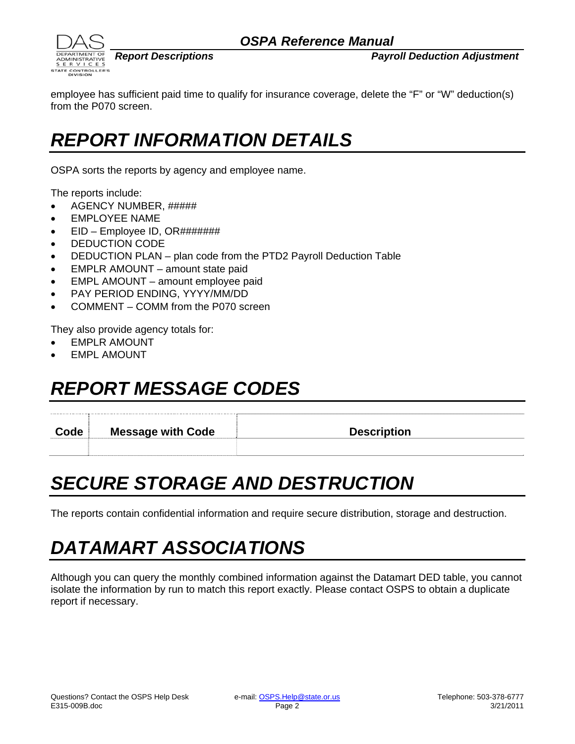

*Report Descriptions Payroll Deduction Adjustment*

employee has sufficient paid time to qualify for insurance coverage, delete the "F" or "W" deduction(s) from the P070 screen.

#### *REPORT INFORMATION DETAILS*

OSPA sorts the reports by agency and employee name.

The reports include:

- AGENCY NUMBER, #####
- EMPLOYEE NAME
- EID Employee ID, OR#######
- DEDUCTION CODE
- DEDUCTION PLAN plan code from the PTD2 Payroll Deduction Table
- EMPLR AMOUNT amount state paid
- EMPL AMOUNT amount employee paid
- PAY PERIOD ENDING, YYYY/MM/DD
- COMMENT COMM from the P070 screen

They also provide agency totals for:

- EMPLR AMOUNT
- EMPL AMOUNT

#### *REPORT MESSAGE CODES*

**Code Message with Code Description Code Description** 

#### *SECURE STORAGE AND DESTRUCTION*

The reports contain confidential information and require secure distribution, storage and destruction.

## *DATAMART ASSOCIATIONS*

Although you can query the monthly combined information against the Datamart DED table, you cannot isolate the information by run to match this report exactly. Please contact OSPS to obtain a duplicate report if necessary.